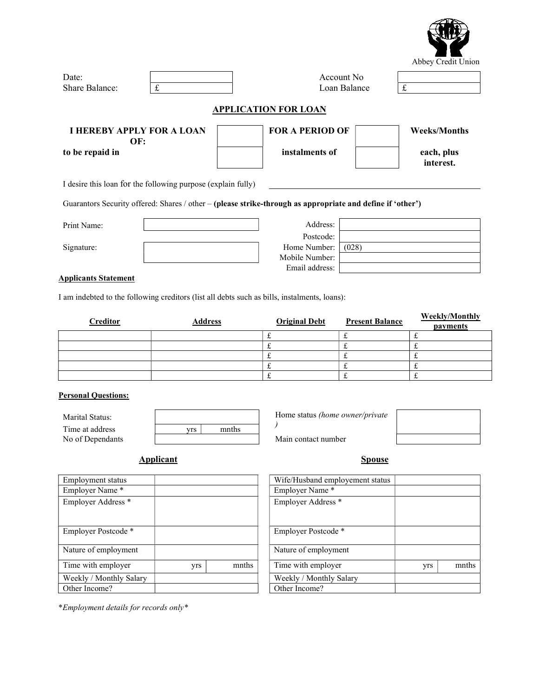|                                                              |                                         |                                                                                                            |              | Abbey Credit Union      |  |
|--------------------------------------------------------------|-----------------------------------------|------------------------------------------------------------------------------------------------------------|--------------|-------------------------|--|
| Date:                                                        |                                         |                                                                                                            | Account No.  |                         |  |
| Share Balance:                                               | $\pounds$                               |                                                                                                            | Loan Balance | £                       |  |
|                                                              |                                         | <b>APPLICATION FOR LOAN</b>                                                                                |              |                         |  |
|                                                              | <b>I HEREBY APPLY FOR A LOAN</b><br>OF: | <b>FOR A PERIOD OF</b>                                                                                     |              | <b>Weeks/Months</b>     |  |
| to be repaid in                                              |                                         | instalments of                                                                                             |              | each, plus<br>interest. |  |
| I desire this loan for the following purpose (explain fully) |                                         |                                                                                                            |              |                         |  |
|                                                              |                                         | Guarantors Security offered: Shares / other - (please strike-through as appropriate and define if 'other') |              |                         |  |
| Print Name:                                                  |                                         | Address:                                                                                                   |              |                         |  |
|                                                              |                                         | Postcode:                                                                                                  |              |                         |  |
| Signature:                                                   |                                         | Home Number:                                                                                               | (028)        |                         |  |

## Applicants Statement

I am indebted to the following creditors (list all debts such as bills, instalments, loans):

| <b>Creditor</b> | <b>Address</b> | <b>Original Debt</b> | <b>Present Balance</b> | <b>Weekly/Monthly</b><br>payments |
|-----------------|----------------|----------------------|------------------------|-----------------------------------|
|                 |                | ىم                   |                        |                                   |
|                 |                |                      |                        |                                   |
|                 |                | $\tilde{}$           |                        |                                   |
|                 |                | ىم                   |                        |                                   |
|                 |                | ىم                   |                        |                                   |

 Mobile Number: Email address:

## Personal Questions:

| Marital Status:  |    |       |  |
|------------------|----|-------|--|
| Time at address  | πs | mnths |  |
| No of Dependants |    |       |  |

Home status (home owner/private )

Main contact number

Applicant Spouse

| Employment status       |     |       | Wife/Husband employement status |
|-------------------------|-----|-------|---------------------------------|
| Employer Name*          |     |       | Employer Name*                  |
| Employer Address *      |     |       | Employer Address *              |
| Employer Postcode *     |     |       | Employer Postcode *             |
| Nature of employment    |     |       | Nature of employment            |
| Time with employer      | yrs | mnths | Time with employer              |
| Weekly / Monthly Salary |     |       | Weekly / Monthly Salary         |
| Other Income?           |     |       | Other Income?                   |

\*Employment details for records only\*

| Employment status             |     |       | Wife/Husband employement status |     |       |
|-------------------------------|-----|-------|---------------------------------|-----|-------|
| Employer Name*                |     |       | Employer Name*                  |     |       |
| Employer Address <sup>*</sup> |     |       | Employer Address *              |     |       |
| Employer Postcode*            |     |       | Employer Postcode*              |     |       |
| Nature of employment          |     |       | Nature of employment            |     |       |
| Time with employer            | yrs | mnths | Time with employer              | yrs | mnths |
| Weekly / Monthly Salary       |     |       | Weekly / Monthly Salary         |     |       |
| Other Income?                 |     |       | Other Income?                   |     |       |